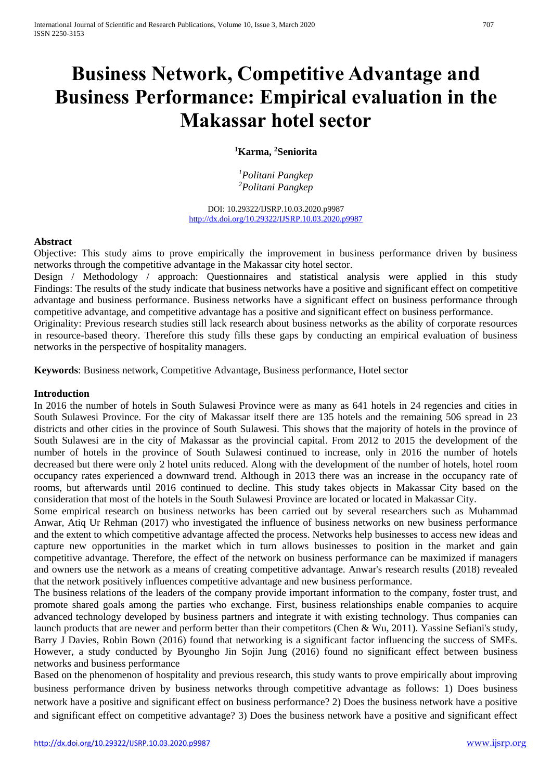# **Business Network, Competitive Advantage and Business Performance: Empirical evaluation in the Makassar hotel sector**

## **<sup>1</sup>Karma, <sup>2</sup>Seniorita**

*<sup>1</sup>Politani Pangkep <sup>2</sup>Politani Pangkep*

DOI: 10.29322/IJSRP.10.03.2020.p9987 <http://dx.doi.org/10.29322/IJSRP.10.03.2020.p9987>

## **Abstract**

Objective: This study aims to prove empirically the improvement in business performance driven by business networks through the competitive advantage in the Makassar city hotel sector.

Design / Methodology / approach: Questionnaires and statistical analysis were applied in this study Findings: The results of the study indicate that business networks have a positive and significant effect on competitive advantage and business performance. Business networks have a significant effect on business performance through competitive advantage, and competitive advantage has a positive and significant effect on business performance.

Originality: Previous research studies still lack research about business networks as the ability of corporate resources in resource-based theory. Therefore this study fills these gaps by conducting an empirical evaluation of business networks in the perspective of hospitality managers.

**Keywords**: Business network, Competitive Advantage, Business performance, Hotel sector

#### **Introduction**

In 2016 the number of hotels in South Sulawesi Province were as many as 641 hotels in 24 regencies and cities in South Sulawesi Province. For the city of Makassar itself there are 135 hotels and the remaining 506 spread in 23 districts and other cities in the province of South Sulawesi. This shows that the majority of hotels in the province of South Sulawesi are in the city of Makassar as the provincial capital. From 2012 to 2015 the development of the number of hotels in the province of South Sulawesi continued to increase, only in 2016 the number of hotels decreased but there were only 2 hotel units reduced. Along with the development of the number of hotels, hotel room occupancy rates experienced a downward trend. Although in 2013 there was an increase in the occupancy rate of rooms, but afterwards until 2016 continued to decline. This study takes objects in Makassar City based on the consideration that most of the hotels in the South Sulawesi Province are located or located in Makassar City.

Some empirical research on business networks has been carried out by several researchers such as Muhammad Anwar, Atiq Ur Rehman (2017) who investigated the influence of business networks on new business performance and the extent to which competitive advantage affected the process. Networks help businesses to access new ideas and capture new opportunities in the market which in turn allows businesses to position in the market and gain competitive advantage. Therefore, the effect of the network on business performance can be maximized if managers and owners use the network as a means of creating competitive advantage. Anwar's research results (2018) revealed that the network positively influences competitive advantage and new business performance.

The business relations of the leaders of the company provide important information to the company, foster trust, and promote shared goals among the parties who exchange. First, business relationships enable companies to acquire advanced technology developed by business partners and integrate it with existing technology. Thus companies can launch products that are newer and perform better than their competitors (Chen & Wu, 2011). Yassine Sefiani's study, Barry J Davies, Robin Bown (2016) found that networking is a significant factor influencing the success of SMEs. However, a study conducted by Byoungho Jin Sojin Jung (2016) found no significant effect between business networks and business performance

Based on the phenomenon of hospitality and previous research, this study wants to prove empirically about improving business performance driven by business networks through competitive advantage as follows: 1) Does business network have a positive and significant effect on business performance? 2) Does the business network have a positive and significant effect on competitive advantage? 3) Does the business network have a positive and significant effect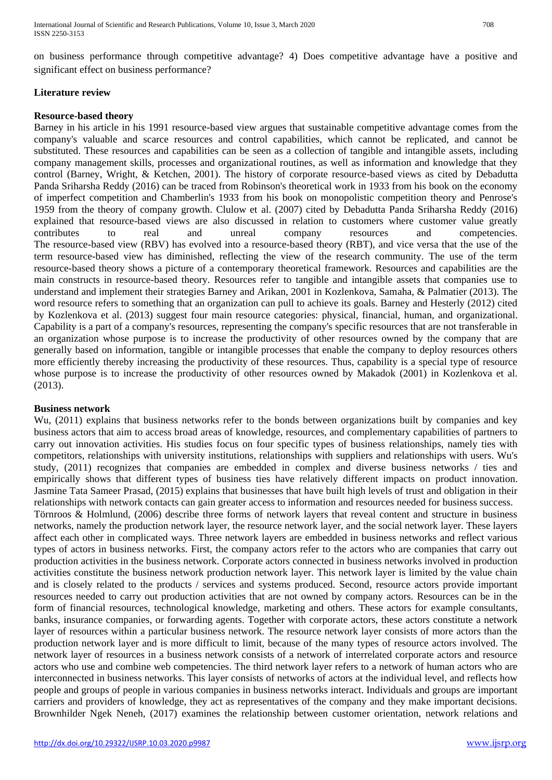on business performance through competitive advantage? 4) Does competitive advantage have a positive and significant effect on business performance?

## **Literature review**

#### **Resource-based theory**

Barney in his article in his 1991 resource-based view argues that sustainable competitive advantage comes from the company's valuable and scarce resources and control capabilities, which cannot be replicated, and cannot be substituted. These resources and capabilities can be seen as a collection of tangible and intangible assets, including company management skills, processes and organizational routines, as well as information and knowledge that they control (Barney, Wright, & Ketchen, 2001). The history of corporate resource-based views as cited by Debadutta Panda Sriharsha Reddy (2016) can be traced from Robinson's theoretical work in 1933 from his book on the economy of imperfect competition and Chamberlin's 1933 from his book on monopolistic competition theory and Penrose's 1959 from the theory of company growth. Clulow et al. (2007) cited by Debadutta Panda Sriharsha Reddy (2016) explained that resource-based views are also discussed in relation to customers where customer value greatly contributes to real and unreal company resources and competencies. The resource-based view (RBV) has evolved into a resource-based theory (RBT), and vice versa that the use of the term resource-based view has diminished, reflecting the view of the research community. The use of the term resource-based theory shows a picture of a contemporary theoretical framework. Resources and capabilities are the main constructs in resource-based theory. Resources refer to tangible and intangible assets that companies use to understand and implement their strategies Barney and Arikan, 2001 in Kozlenkova, Samaha, & Palmatier (2013). The word resource refers to something that an organization can pull to achieve its goals. Barney and Hesterly (2012) cited by Kozlenkova et al. (2013) suggest four main resource categories: physical, financial, human, and organizational. Capability is a part of a company's resources, representing the company's specific resources that are not transferable in an organization whose purpose is to increase the productivity of other resources owned by the company that are generally based on information, tangible or intangible processes that enable the company to deploy resources others more efficiently thereby increasing the productivity of these resources. Thus, capability is a special type of resource whose purpose is to increase the productivity of other resources owned by Makadok (2001) in Kozlenkova et al. (2013).

## **Business network**

Wu, (2011) explains that business networks refer to the bonds between organizations built by companies and key business actors that aim to access broad areas of knowledge, resources, and complementary capabilities of partners to carry out innovation activities. His studies focus on four specific types of business relationships, namely ties with competitors, relationships with university institutions, relationships with suppliers and relationships with users. Wu's study, (2011) recognizes that companies are embedded in complex and diverse business networks / ties and empirically shows that different types of business ties have relatively different impacts on product innovation. Jasmine Tata Sameer Prasad, (2015) explains that businesses that have built high levels of trust and obligation in their relationships with network contacts can gain greater access to information and resources needed for business success. Törnroos & Holmlund, (2006) describe three forms of network layers that reveal content and structure in business networks, namely the production network layer, the resource network layer, and the social network layer. These layers affect each other in complicated ways. Three network layers are embedded in business networks and reflect various types of actors in business networks. First, the company actors refer to the actors who are companies that carry out production activities in the business network. Corporate actors connected in business networks involved in production activities constitute the business network production network layer. This network layer is limited by the value chain and is closely related to the products / services and systems produced. Second, resource actors provide important resources needed to carry out production activities that are not owned by company actors. Resources can be in the form of financial resources, technological knowledge, marketing and others. These actors for example consultants, banks, insurance companies, or forwarding agents. Together with corporate actors, these actors constitute a network layer of resources within a particular business network. The resource network layer consists of more actors than the production network layer and is more difficult to limit, because of the many types of resource actors involved. The network layer of resources in a business network consists of a network of interrelated corporate actors and resource actors who use and combine web competencies. The third network layer refers to a network of human actors who are interconnected in business networks. This layer consists of networks of actors at the individual level, and reflects how people and groups of people in various companies in business networks interact. Individuals and groups are important carriers and providers of knowledge, they act as representatives of the company and they make important decisions. Brownhilder Ngek Neneh, (2017) examines the relationship between customer orientation, network relations and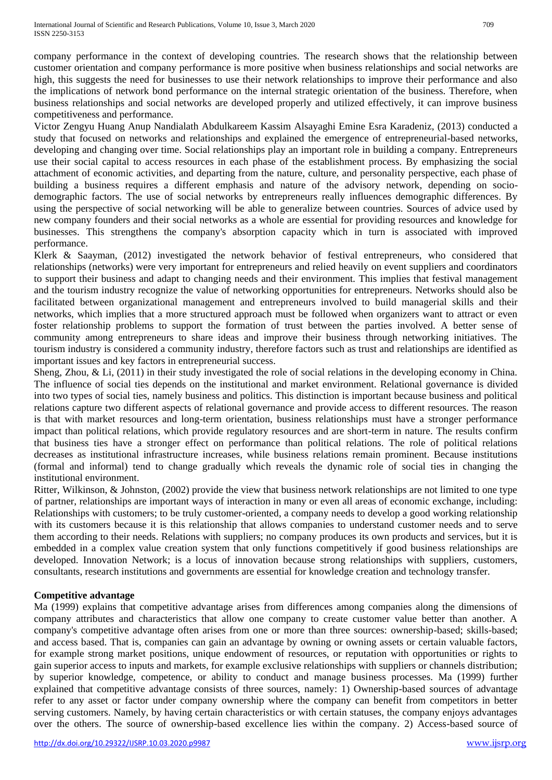company performance in the context of developing countries. The research shows that the relationship between customer orientation and company performance is more positive when business relationships and social networks are high, this suggests the need for businesses to use their network relationships to improve their performance and also the implications of network bond performance on the internal strategic orientation of the business. Therefore, when business relationships and social networks are developed properly and utilized effectively, it can improve business competitiveness and performance.

Victor Zengyu Huang Anup Nandialath Abdulkareem Kassim Alsayaghi Emine Esra Karadeniz, (2013) conducted a study that focused on networks and relationships and explained the emergence of entrepreneurial-based networks, developing and changing over time. Social relationships play an important role in building a company. Entrepreneurs use their social capital to access resources in each phase of the establishment process. By emphasizing the social attachment of economic activities, and departing from the nature, culture, and personality perspective, each phase of building a business requires a different emphasis and nature of the advisory network, depending on sociodemographic factors. The use of social networks by entrepreneurs really influences demographic differences. By using the perspective of social networking will be able to generalize between countries. Sources of advice used by new company founders and their social networks as a whole are essential for providing resources and knowledge for businesses. This strengthens the company's absorption capacity which in turn is associated with improved performance.

Klerk & Saayman, (2012) investigated the network behavior of festival entrepreneurs, who considered that relationships (networks) were very important for entrepreneurs and relied heavily on event suppliers and coordinators to support their business and adapt to changing needs and their environment. This implies that festival management and the tourism industry recognize the value of networking opportunities for entrepreneurs. Networks should also be facilitated between organizational management and entrepreneurs involved to build managerial skills and their networks, which implies that a more structured approach must be followed when organizers want to attract or even foster relationship problems to support the formation of trust between the parties involved. A better sense of community among entrepreneurs to share ideas and improve their business through networking initiatives. The tourism industry is considered a community industry, therefore factors such as trust and relationships are identified as important issues and key factors in entrepreneurial success.

Sheng, Zhou, & Li, (2011) in their study investigated the role of social relations in the developing economy in China. The influence of social ties depends on the institutional and market environment. Relational governance is divided into two types of social ties, namely business and politics. This distinction is important because business and political relations capture two different aspects of relational governance and provide access to different resources. The reason is that with market resources and long-term orientation, business relationships must have a stronger performance impact than political relations, which provide regulatory resources and are short-term in nature. The results confirm that business ties have a stronger effect on performance than political relations. The role of political relations decreases as institutional infrastructure increases, while business relations remain prominent. Because institutions (formal and informal) tend to change gradually which reveals the dynamic role of social ties in changing the institutional environment.

Ritter, Wilkinson, & Johnston, (2002) provide the view that business network relationships are not limited to one type of partner, relationships are important ways of interaction in many or even all areas of economic exchange, including: Relationships with customers; to be truly customer-oriented, a company needs to develop a good working relationship with its customers because it is this relationship that allows companies to understand customer needs and to serve them according to their needs. Relations with suppliers; no company produces its own products and services, but it is embedded in a complex value creation system that only functions competitively if good business relationships are developed. Innovation Network; is a locus of innovation because strong relationships with suppliers, customers, consultants, research institutions and governments are essential for knowledge creation and technology transfer.

## **Competitive advantage**

Ma (1999) explains that competitive advantage arises from differences among companies along the dimensions of company attributes and characteristics that allow one company to create customer value better than another. A company's competitive advantage often arises from one or more than three sources: ownership-based; skills-based; and access based. That is, companies can gain an advantage by owning or owning assets or certain valuable factors, for example strong market positions, unique endowment of resources, or reputation with opportunities or rights to gain superior access to inputs and markets, for example exclusive relationships with suppliers or channels distribution; by superior knowledge, competence, or ability to conduct and manage business processes. Ma (1999) further explained that competitive advantage consists of three sources, namely: 1) Ownership-based sources of advantage refer to any asset or factor under company ownership where the company can benefit from competitors in better serving customers. Namely, by having certain characteristics or with certain statuses, the company enjoys advantages over the others. The source of ownership-based excellence lies within the company. 2) Access-based source of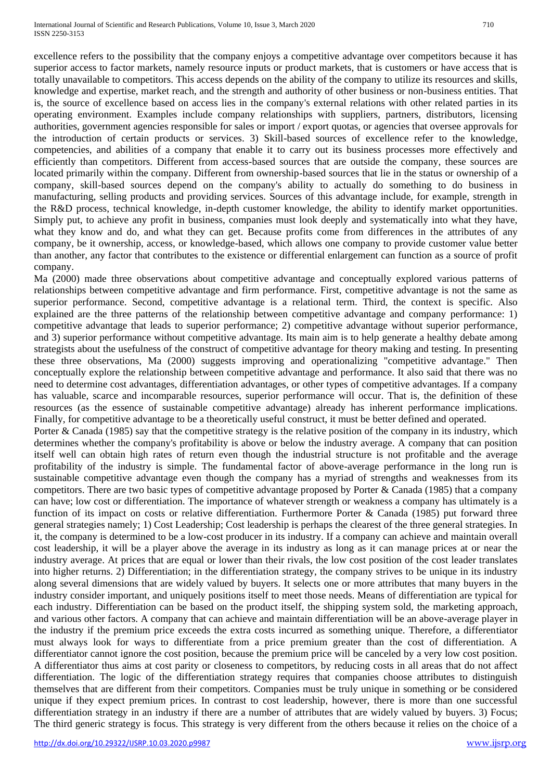excellence refers to the possibility that the company enjoys a competitive advantage over competitors because it has superior access to factor markets, namely resource inputs or product markets, that is customers or have access that is totally unavailable to competitors. This access depends on the ability of the company to utilize its resources and skills, knowledge and expertise, market reach, and the strength and authority of other business or non-business entities. That is, the source of excellence based on access lies in the company's external relations with other related parties in its operating environment. Examples include company relationships with suppliers, partners, distributors, licensing authorities, government agencies responsible for sales or import / export quotas, or agencies that oversee approvals for the introduction of certain products or services. 3) Skill-based sources of excellence refer to the knowledge, competencies, and abilities of a company that enable it to carry out its business processes more effectively and efficiently than competitors. Different from access-based sources that are outside the company, these sources are located primarily within the company. Different from ownership-based sources that lie in the status or ownership of a company, skill-based sources depend on the company's ability to actually do something to do business in manufacturing, selling products and providing services. Sources of this advantage include, for example, strength in the R&D process, technical knowledge, in-depth customer knowledge, the ability to identify market opportunities. Simply put, to achieve any profit in business, companies must look deeply and systematically into what they have, what they know and do, and what they can get. Because profits come from differences in the attributes of any company, be it ownership, access, or knowledge-based, which allows one company to provide customer value better than another, any factor that contributes to the existence or differential enlargement can function as a source of profit company.

Ma (2000) made three observations about competitive advantage and conceptually explored various patterns of relationships between competitive advantage and firm performance. First, competitive advantage is not the same as superior performance. Second, competitive advantage is a relational term. Third, the context is specific. Also explained are the three patterns of the relationship between competitive advantage and company performance: 1) competitive advantage that leads to superior performance; 2) competitive advantage without superior performance, and 3) superior performance without competitive advantage. Its main aim is to help generate a healthy debate among strategists about the usefulness of the construct of competitive advantage for theory making and testing. In presenting these three observations, Ma (2000) suggests improving and operationalizing "competitive advantage." Then conceptually explore the relationship between competitive advantage and performance. It also said that there was no need to determine cost advantages, differentiation advantages, or other types of competitive advantages. If a company has valuable, scarce and incomparable resources, superior performance will occur. That is, the definition of these resources (as the essence of sustainable competitive advantage) already has inherent performance implications. Finally, for competitive advantage to be a theoretically useful construct, it must be better defined and operated.

Porter & Canada (1985) say that the competitive strategy is the relative position of the company in its industry, which determines whether the company's profitability is above or below the industry average. A company that can position itself well can obtain high rates of return even though the industrial structure is not profitable and the average profitability of the industry is simple. The fundamental factor of above-average performance in the long run is sustainable competitive advantage even though the company has a myriad of strengths and weaknesses from its competitors. There are two basic types of competitive advantage proposed by Porter & Canada (1985) that a company can have; low cost or differentiation. The importance of whatever strength or weakness a company has ultimately is a function of its impact on costs or relative differentiation. Furthermore Porter & Canada (1985) put forward three general strategies namely; 1) Cost Leadership; Cost leadership is perhaps the clearest of the three general strategies. In it, the company is determined to be a low-cost producer in its industry. If a company can achieve and maintain overall cost leadership, it will be a player above the average in its industry as long as it can manage prices at or near the industry average. At prices that are equal or lower than their rivals, the low cost position of the cost leader translates into higher returns. 2) Differentiation; in the differentiation strategy, the company strives to be unique in its industry along several dimensions that are widely valued by buyers. It selects one or more attributes that many buyers in the industry consider important, and uniquely positions itself to meet those needs. Means of differentiation are typical for each industry. Differentiation can be based on the product itself, the shipping system sold, the marketing approach, and various other factors. A company that can achieve and maintain differentiation will be an above-average player in the industry if the premium price exceeds the extra costs incurred as something unique. Therefore, a differentiator must always look for ways to differentiate from a price premium greater than the cost of differentiation. A differentiator cannot ignore the cost position, because the premium price will be canceled by a very low cost position. A differentiator thus aims at cost parity or closeness to competitors, by reducing costs in all areas that do not affect differentiation. The logic of the differentiation strategy requires that companies choose attributes to distinguish themselves that are different from their competitors. Companies must be truly unique in something or be considered unique if they expect premium prices. In contrast to cost leadership, however, there is more than one successful differentiation strategy in an industry if there are a number of attributes that are widely valued by buyers. 3) Focus; The third generic strategy is focus. This strategy is very different from the others because it relies on the choice of a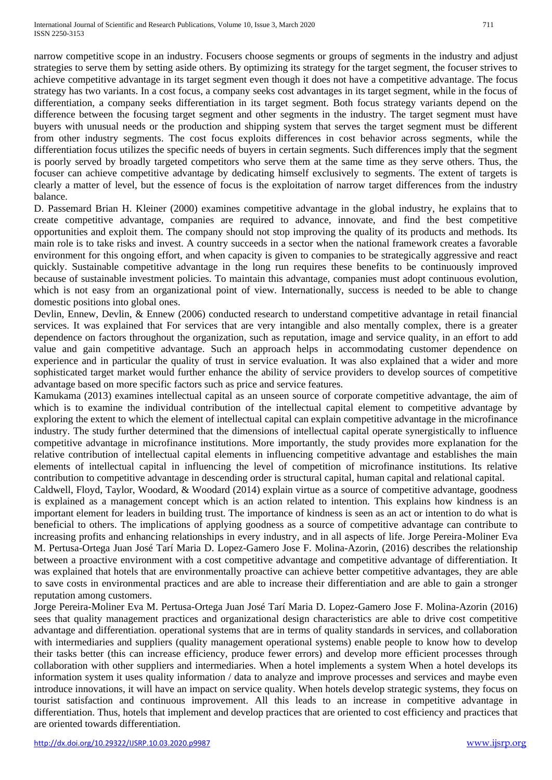narrow competitive scope in an industry. Focusers choose segments or groups of segments in the industry and adjust strategies to serve them by setting aside others. By optimizing its strategy for the target segment, the focuser strives to achieve competitive advantage in its target segment even though it does not have a competitive advantage. The focus strategy has two variants. In a cost focus, a company seeks cost advantages in its target segment, while in the focus of differentiation, a company seeks differentiation in its target segment. Both focus strategy variants depend on the difference between the focusing target segment and other segments in the industry. The target segment must have buyers with unusual needs or the production and shipping system that serves the target segment must be different from other industry segments. The cost focus exploits differences in cost behavior across segments, while the differentiation focus utilizes the specific needs of buyers in certain segments. Such differences imply that the segment is poorly served by broadly targeted competitors who serve them at the same time as they serve others. Thus, the focuser can achieve competitive advantage by dedicating himself exclusively to segments. The extent of targets is clearly a matter of level, but the essence of focus is the exploitation of narrow target differences from the industry balance.

D. Passemard Brian H. Kleiner (2000) examines competitive advantage in the global industry, he explains that to create competitive advantage, companies are required to advance, innovate, and find the best competitive opportunities and exploit them. The company should not stop improving the quality of its products and methods. Its main role is to take risks and invest. A country succeeds in a sector when the national framework creates a favorable environment for this ongoing effort, and when capacity is given to companies to be strategically aggressive and react quickly. Sustainable competitive advantage in the long run requires these benefits to be continuously improved because of sustainable investment policies. To maintain this advantage, companies must adopt continuous evolution, which is not easy from an organizational point of view. Internationally, success is needed to be able to change domestic positions into global ones.

Devlin, Ennew, Devlin, & Ennew (2006) conducted research to understand competitive advantage in retail financial services. It was explained that For services that are very intangible and also mentally complex, there is a greater dependence on factors throughout the organization, such as reputation, image and service quality, in an effort to add value and gain competitive advantage. Such an approach helps in accommodating customer dependence on experience and in particular the quality of trust in service evaluation. It was also explained that a wider and more sophisticated target market would further enhance the ability of service providers to develop sources of competitive advantage based on more specific factors such as price and service features.

Kamukama (2013) examines intellectual capital as an unseen source of corporate competitive advantage, the aim of which is to examine the individual contribution of the intellectual capital element to competitive advantage by exploring the extent to which the element of intellectual capital can explain competitive advantage in the microfinance industry. The study further determined that the dimensions of intellectual capital operate synergistically to influence competitive advantage in microfinance institutions. More importantly, the study provides more explanation for the relative contribution of intellectual capital elements in influencing competitive advantage and establishes the main elements of intellectual capital in influencing the level of competition of microfinance institutions. Its relative contribution to competitive advantage in descending order is structural capital, human capital and relational capital.

Caldwell, Floyd, Taylor, Woodard, & Woodard (2014) explain virtue as a source of competitive advantage, goodness is explained as a management concept which is an action related to intention. This explains how kindness is an important element for leaders in building trust. The importance of kindness is seen as an act or intention to do what is beneficial to others. The implications of applying goodness as a source of competitive advantage can contribute to increasing profits and enhancing relationships in every industry, and in all aspects of life. Jorge Pereira-Moliner Eva M. Pertusa-Ortega Juan José Tarí Maria D. Lopez-Gamero Jose F. Molina-Azorin, (2016) describes the relationship between a proactive environment with a cost competitive advantage and competitive advantage of differentiation. It was explained that hotels that are environmentally proactive can achieve better competitive advantages, they are able to save costs in environmental practices and are able to increase their differentiation and are able to gain a stronger reputation among customers.

Jorge Pereira-Moliner Eva M. Pertusa-Ortega Juan José Tarí Maria D. Lopez-Gamero Jose F. Molina-Azorin (2016) sees that quality management practices and organizational design characteristics are able to drive cost competitive advantage and differentiation. operational systems that are in terms of quality standards in services, and collaboration with intermediaries and suppliers (quality management operational systems) enable people to know how to develop their tasks better (this can increase efficiency, produce fewer errors) and develop more efficient processes through collaboration with other suppliers and intermediaries. When a hotel implements a system When a hotel develops its information system it uses quality information / data to analyze and improve processes and services and maybe even introduce innovations, it will have an impact on service quality. When hotels develop strategic systems, they focus on tourist satisfaction and continuous improvement. All this leads to an increase in competitive advantage in differentiation. Thus, hotels that implement and develop practices that are oriented to cost efficiency and practices that are oriented towards differentiation.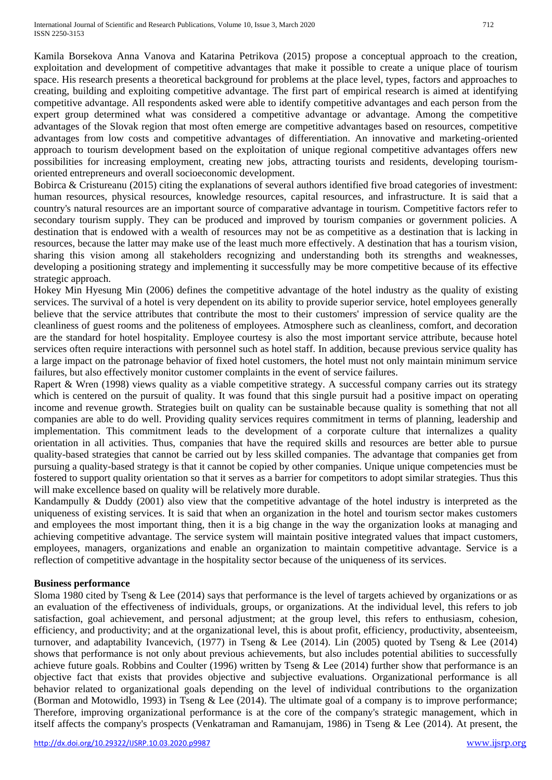Kamila Borsekova Anna Vanova and Katarina Petrikova (2015) propose a conceptual approach to the creation, exploitation and development of competitive advantages that make it possible to create a unique place of tourism space. His research presents a theoretical background for problems at the place level, types, factors and approaches to creating, building and exploiting competitive advantage. The first part of empirical research is aimed at identifying competitive advantage. All respondents asked were able to identify competitive advantages and each person from the expert group determined what was considered a competitive advantage or advantage. Among the competitive advantages of the Slovak region that most often emerge are competitive advantages based on resources, competitive advantages from low costs and competitive advantages of differentiation. An innovative and marketing-oriented approach to tourism development based on the exploitation of unique regional competitive advantages offers new possibilities for increasing employment, creating new jobs, attracting tourists and residents, developing tourismoriented entrepreneurs and overall socioeconomic development.

Bobirca & Cristureanu (2015) citing the explanations of several authors identified five broad categories of investment: human resources, physical resources, knowledge resources, capital resources, and infrastructure. It is said that a country's natural resources are an important source of comparative advantage in tourism. Competitive factors refer to secondary tourism supply. They can be produced and improved by tourism companies or government policies. A destination that is endowed with a wealth of resources may not be as competitive as a destination that is lacking in resources, because the latter may make use of the least much more effectively. A destination that has a tourism vision, sharing this vision among all stakeholders recognizing and understanding both its strengths and weaknesses, developing a positioning strategy and implementing it successfully may be more competitive because of its effective strategic approach.

Hokey Min Hyesung Min (2006) defines the competitive advantage of the hotel industry as the quality of existing services. The survival of a hotel is very dependent on its ability to provide superior service, hotel employees generally believe that the service attributes that contribute the most to their customers' impression of service quality are the cleanliness of guest rooms and the politeness of employees. Atmosphere such as cleanliness, comfort, and decoration are the standard for hotel hospitality. Employee courtesy is also the most important service attribute, because hotel services often require interactions with personnel such as hotel staff. In addition, because previous service quality has a large impact on the patronage behavior of fixed hotel customers, the hotel must not only maintain minimum service failures, but also effectively monitor customer complaints in the event of service failures.

Rapert & Wren (1998) views quality as a viable competitive strategy. A successful company carries out its strategy which is centered on the pursuit of quality. It was found that this single pursuit had a positive impact on operating income and revenue growth. Strategies built on quality can be sustainable because quality is something that not all companies are able to do well. Providing quality services requires commitment in terms of planning, leadership and implementation. This commitment leads to the development of a corporate culture that internalizes a quality orientation in all activities. Thus, companies that have the required skills and resources are better able to pursue quality-based strategies that cannot be carried out by less skilled companies. The advantage that companies get from pursuing a quality-based strategy is that it cannot be copied by other companies. Unique unique competencies must be fostered to support quality orientation so that it serves as a barrier for competitors to adopt similar strategies. Thus this will make excellence based on quality will be relatively more durable.

Kandampully & Duddy (2001) also view that the competitive advantage of the hotel industry is interpreted as the uniqueness of existing services. It is said that when an organization in the hotel and tourism sector makes customers and employees the most important thing, then it is a big change in the way the organization looks at managing and achieving competitive advantage. The service system will maintain positive integrated values that impact customers, employees, managers, organizations and enable an organization to maintain competitive advantage. Service is a reflection of competitive advantage in the hospitality sector because of the uniqueness of its services.

## **Business performance**

Sloma 1980 cited by Tseng & Lee (2014) says that performance is the level of targets achieved by organizations or as an evaluation of the effectiveness of individuals, groups, or organizations. At the individual level, this refers to job satisfaction, goal achievement, and personal adjustment; at the group level, this refers to enthusiasm, cohesion, efficiency, and productivity; and at the organizational level, this is about profit, efficiency, productivity, absenteeism, turnover, and adaptability Ivancevich, (1977) in Tseng & Lee (2014). Lin (2005) quoted by Tseng & Lee (2014) shows that performance is not only about previous achievements, but also includes potential abilities to successfully achieve future goals. Robbins and Coulter (1996) written by Tseng & Lee (2014) further show that performance is an objective fact that exists that provides objective and subjective evaluations. Organizational performance is all behavior related to organizational goals depending on the level of individual contributions to the organization (Borman and Motowidlo, 1993) in Tseng & Lee (2014). The ultimate goal of a company is to improve performance; Therefore, improving organizational performance is at the core of the company's strategic management, which in itself affects the company's prospects (Venkatraman and Ramanujam, 1986) in Tseng & Lee (2014). At present, the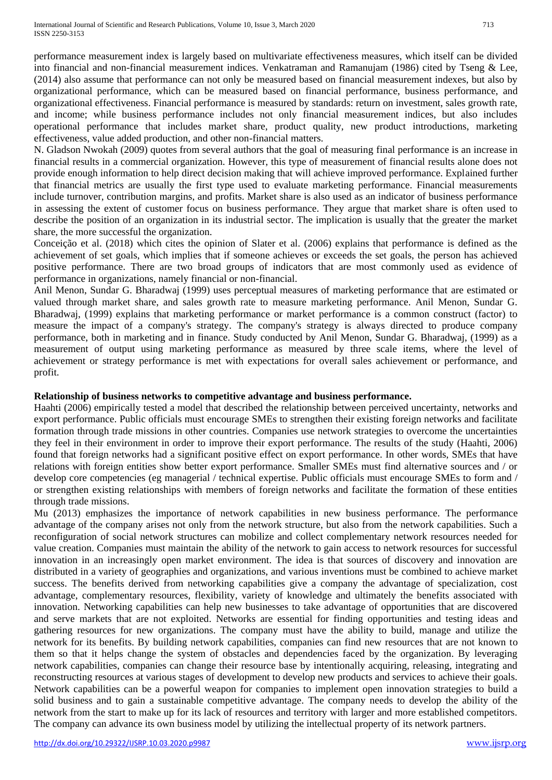performance measurement index is largely based on multivariate effectiveness measures, which itself can be divided into financial and non-financial measurement indices. Venkatraman and Ramanujam (1986) cited by Tseng & Lee, (2014) also assume that performance can not only be measured based on financial measurement indexes, but also by organizational performance, which can be measured based on financial performance, business performance, and organizational effectiveness. Financial performance is measured by standards: return on investment, sales growth rate, and income; while business performance includes not only financial measurement indices, but also includes operational performance that includes market share, product quality, new product introductions, marketing effectiveness, value added production, and other non-financial matters.

N. Gladson Nwokah (2009) quotes from several authors that the goal of measuring final performance is an increase in financial results in a commercial organization. However, this type of measurement of financial results alone does not provide enough information to help direct decision making that will achieve improved performance. Explained further that financial metrics are usually the first type used to evaluate marketing performance. Financial measurements include turnover, contribution margins, and profits. Market share is also used as an indicator of business performance in assessing the extent of customer focus on business performance. They argue that market share is often used to describe the position of an organization in its industrial sector. The implication is usually that the greater the market share, the more successful the organization.

Conceição et al. (2018) which cites the opinion of Slater et al. (2006) explains that performance is defined as the achievement of set goals, which implies that if someone achieves or exceeds the set goals, the person has achieved positive performance. There are two broad groups of indicators that are most commonly used as evidence of performance in organizations, namely financial or non-financial.

Anil Menon, Sundar G. Bharadwaj (1999) uses perceptual measures of marketing performance that are estimated or valued through market share, and sales growth rate to measure marketing performance. Anil Menon, Sundar G. Bharadwaj, (1999) explains that marketing performance or market performance is a common construct (factor) to measure the impact of a company's strategy. The company's strategy is always directed to produce company performance, both in marketing and in finance. Study conducted by Anil Menon, Sundar G. Bharadwaj, (1999) as a measurement of output using marketing performance as measured by three scale items, where the level of achievement or strategy performance is met with expectations for overall sales achievement or performance, and profit.

## **Relationship of business networks to competitive advantage and business performance.**

Haahti (2006) empirically tested a model that described the relationship between perceived uncertainty, networks and export performance. Public officials must encourage SMEs to strengthen their existing foreign networks and facilitate formation through trade missions in other countries. Companies use network strategies to overcome the uncertainties they feel in their environment in order to improve their export performance. The results of the study (Haahti, 2006) found that foreign networks had a significant positive effect on export performance. In other words, SMEs that have relations with foreign entities show better export performance. Smaller SMEs must find alternative sources and / or develop core competencies (eg managerial / technical expertise. Public officials must encourage SMEs to form and / or strengthen existing relationships with members of foreign networks and facilitate the formation of these entities through trade missions.

Mu (2013) emphasizes the importance of network capabilities in new business performance. The performance advantage of the company arises not only from the network structure, but also from the network capabilities. Such a reconfiguration of social network structures can mobilize and collect complementary network resources needed for value creation. Companies must maintain the ability of the network to gain access to network resources for successful innovation in an increasingly open market environment. The idea is that sources of discovery and innovation are distributed in a variety of geographies and organizations, and various inventions must be combined to achieve market success. The benefits derived from networking capabilities give a company the advantage of specialization, cost advantage, complementary resources, flexibility, variety of knowledge and ultimately the benefits associated with innovation. Networking capabilities can help new businesses to take advantage of opportunities that are discovered and serve markets that are not exploited. Networks are essential for finding opportunities and testing ideas and gathering resources for new organizations. The company must have the ability to build, manage and utilize the network for its benefits. By building network capabilities, companies can find new resources that are not known to them so that it helps change the system of obstacles and dependencies faced by the organization. By leveraging network capabilities, companies can change their resource base by intentionally acquiring, releasing, integrating and reconstructing resources at various stages of development to develop new products and services to achieve their goals. Network capabilities can be a powerful weapon for companies to implement open innovation strategies to build a solid business and to gain a sustainable competitive advantage. The company needs to develop the ability of the network from the start to make up for its lack of resources and territory with larger and more established competitors. The company can advance its own business model by utilizing the intellectual property of its network partners.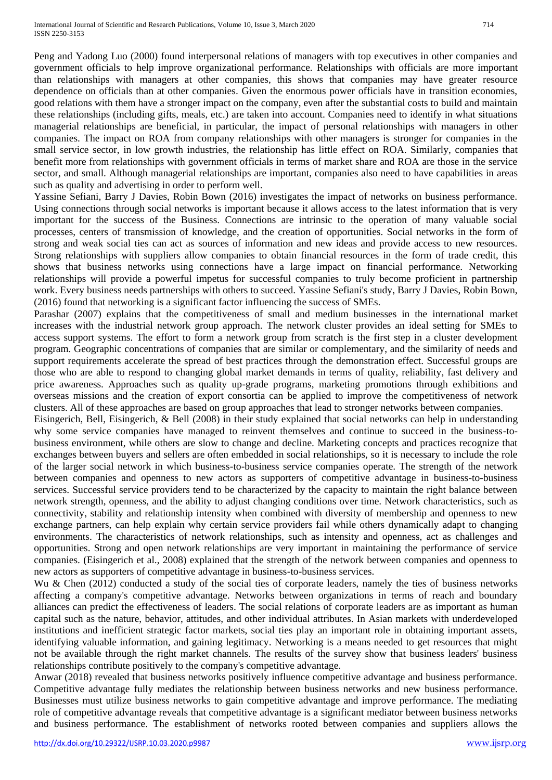Peng and Yadong Luo (2000) found interpersonal relations of managers with top executives in other companies and government officials to help improve organizational performance. Relationships with officials are more important than relationships with managers at other companies, this shows that companies may have greater resource dependence on officials than at other companies. Given the enormous power officials have in transition economies, good relations with them have a stronger impact on the company, even after the substantial costs to build and maintain these relationships (including gifts, meals, etc.) are taken into account. Companies need to identify in what situations managerial relationships are beneficial, in particular, the impact of personal relationships with managers in other companies. The impact on ROA from company relationships with other managers is stronger for companies in the small service sector, in low growth industries, the relationship has little effect on ROA. Similarly, companies that benefit more from relationships with government officials in terms of market share and ROA are those in the service sector, and small. Although managerial relationships are important, companies also need to have capabilities in areas such as quality and advertising in order to perform well.

Yassine Sefiani, Barry J Davies, Robin Bown (2016) investigates the impact of networks on business performance. Using connections through social networks is important because it allows access to the latest information that is very important for the success of the Business. Connections are intrinsic to the operation of many valuable social processes, centers of transmission of knowledge, and the creation of opportunities. Social networks in the form of strong and weak social ties can act as sources of information and new ideas and provide access to new resources. Strong relationships with suppliers allow companies to obtain financial resources in the form of trade credit, this shows that business networks using connections have a large impact on financial performance. Networking relationships will provide a powerful impetus for successful companies to truly become proficient in partnership work. Every business needs partnerships with others to succeed. Yassine Sefiani's study, Barry J Davies, Robin Bown, (2016) found that networking is a significant factor influencing the success of SMEs.

Parashar (2007) explains that the competitiveness of small and medium businesses in the international market increases with the industrial network group approach. The network cluster provides an ideal setting for SMEs to access support systems. The effort to form a network group from scratch is the first step in a cluster development program. Geographic concentrations of companies that are similar or complementary, and the similarity of needs and support requirements accelerate the spread of best practices through the demonstration effect. Successful groups are those who are able to respond to changing global market demands in terms of quality, reliability, fast delivery and price awareness. Approaches such as quality up-grade programs, marketing promotions through exhibitions and overseas missions and the creation of export consortia can be applied to improve the competitiveness of network clusters. All of these approaches are based on group approaches that lead to stronger networks between companies.

Eisingerich, Bell, Eisingerich, & Bell (2008) in their study explained that social networks can help in understanding why some service companies have managed to reinvent themselves and continue to succeed in the business-tobusiness environment, while others are slow to change and decline. Marketing concepts and practices recognize that exchanges between buyers and sellers are often embedded in social relationships, so it is necessary to include the role of the larger social network in which business-to-business service companies operate. The strength of the network between companies and openness to new actors as supporters of competitive advantage in business-to-business services. Successful service providers tend to be characterized by the capacity to maintain the right balance between network strength, openness, and the ability to adjust changing conditions over time. Network characteristics, such as connectivity, stability and relationship intensity when combined with diversity of membership and openness to new exchange partners, can help explain why certain service providers fail while others dynamically adapt to changing environments. The characteristics of network relationships, such as intensity and openness, act as challenges and opportunities. Strong and open network relationships are very important in maintaining the performance of service companies. (Eisingerich et al., 2008) explained that the strength of the network between companies and openness to new actors as supporters of competitive advantage in business-to-business services.

Wu & Chen (2012) conducted a study of the social ties of corporate leaders, namely the ties of business networks affecting a company's competitive advantage. Networks between organizations in terms of reach and boundary alliances can predict the effectiveness of leaders. The social relations of corporate leaders are as important as human capital such as the nature, behavior, attitudes, and other individual attributes. In Asian markets with underdeveloped institutions and inefficient strategic factor markets, social ties play an important role in obtaining important assets, identifying valuable information, and gaining legitimacy. Networking is a means needed to get resources that might not be available through the right market channels. The results of the survey show that business leaders' business relationships contribute positively to the company's competitive advantage.

Anwar (2018) revealed that business networks positively influence competitive advantage and business performance. Competitive advantage fully mediates the relationship between business networks and new business performance. Businesses must utilize business networks to gain competitive advantage and improve performance. The mediating role of competitive advantage reveals that competitive advantage is a significant mediator between business networks and business performance. The establishment of networks rooted between companies and suppliers allows the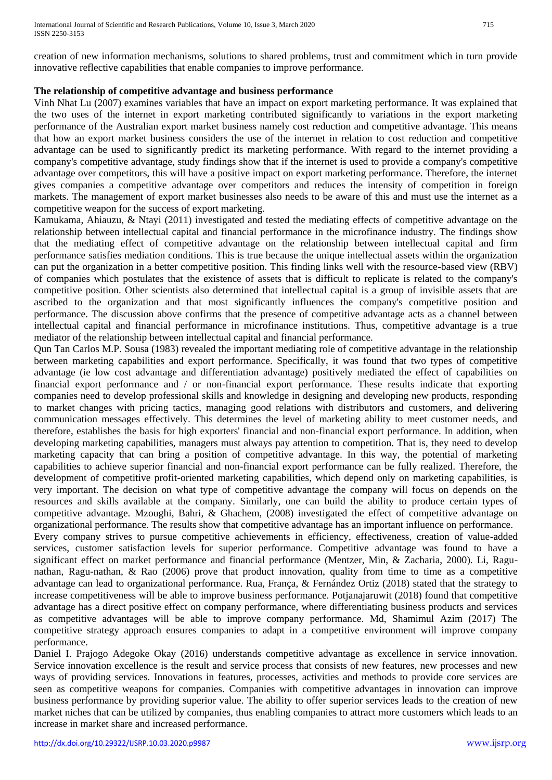creation of new information mechanisms, solutions to shared problems, trust and commitment which in turn provide innovative reflective capabilities that enable companies to improve performance.

## **The relationship of competitive advantage and business performance**

Vinh Nhat Lu (2007) examines variables that have an impact on export marketing performance. It was explained that the two uses of the internet in export marketing contributed significantly to variations in the export marketing performance of the Australian export market business namely cost reduction and competitive advantage. This means that how an export market business considers the use of the internet in relation to cost reduction and competitive advantage can be used to significantly predict its marketing performance. With regard to the internet providing a company's competitive advantage, study findings show that if the internet is used to provide a company's competitive advantage over competitors, this will have a positive impact on export marketing performance. Therefore, the internet gives companies a competitive advantage over competitors and reduces the intensity of competition in foreign markets. The management of export market businesses also needs to be aware of this and must use the internet as a competitive weapon for the success of export marketing.

Kamukama, Ahiauzu, & Ntayi (2011) investigated and tested the mediating effects of competitive advantage on the relationship between intellectual capital and financial performance in the microfinance industry. The findings show that the mediating effect of competitive advantage on the relationship between intellectual capital and firm performance satisfies mediation conditions. This is true because the unique intellectual assets within the organization can put the organization in a better competitive position. This finding links well with the resource-based view (RBV) of companies which postulates that the existence of assets that is difficult to replicate is related to the company's competitive position. Other scientists also determined that intellectual capital is a group of invisible assets that are ascribed to the organization and that most significantly influences the company's competitive position and performance. The discussion above confirms that the presence of competitive advantage acts as a channel between intellectual capital and financial performance in microfinance institutions. Thus, competitive advantage is a true mediator of the relationship between intellectual capital and financial performance.

Qun Tan Carlos M.P. Sousa (1983) revealed the important mediating role of competitive advantage in the relationship between marketing capabilities and export performance. Specifically, it was found that two types of competitive advantage (ie low cost advantage and differentiation advantage) positively mediated the effect of capabilities on financial export performance and / or non-financial export performance. These results indicate that exporting companies need to develop professional skills and knowledge in designing and developing new products, responding to market changes with pricing tactics, managing good relations with distributors and customers, and delivering communication messages effectively. This determines the level of marketing ability to meet customer needs, and therefore, establishes the basis for high exporters' financial and non-financial export performance. In addition, when developing marketing capabilities, managers must always pay attention to competition. That is, they need to develop marketing capacity that can bring a position of competitive advantage. In this way, the potential of marketing capabilities to achieve superior financial and non-financial export performance can be fully realized. Therefore, the development of competitive profit-oriented marketing capabilities, which depend only on marketing capabilities, is very important. The decision on what type of competitive advantage the company will focus on depends on the resources and skills available at the company. Similarly, one can build the ability to produce certain types of competitive advantage. Mzoughi, Bahri, & Ghachem, (2008) investigated the effect of competitive advantage on organizational performance. The results show that competitive advantage has an important influence on performance. Every company strives to pursue competitive achievements in efficiency, effectiveness, creation of value-added

services, customer satisfaction levels for superior performance. Competitive advantage was found to have a significant effect on market performance and financial performance (Mentzer, Min, & Zacharia, 2000). Li, Ragunathan, Ragu-nathan, & Rao (2006) prove that product innovation, quality from time to time as a competitive advantage can lead to organizational performance. Rua, França, & Fernández Ortiz (2018) stated that the strategy to increase competitiveness will be able to improve business performance. Potjanajaruwit (2018) found that competitive advantage has a direct positive effect on company performance, where differentiating business products and services as competitive advantages will be able to improve company performance. Md, Shamimul Azim (2017) The competitive strategy approach ensures companies to adapt in a competitive environment will improve company performance.

Daniel I. Prajogo Adegoke Okay (2016) understands competitive advantage as excellence in service innovation. Service innovation excellence is the result and service process that consists of new features, new processes and new ways of providing services. Innovations in features, processes, activities and methods to provide core services are seen as competitive weapons for companies. Companies with competitive advantages in innovation can improve business performance by providing superior value. The ability to offer superior services leads to the creation of new market niches that can be utilized by companies, thus enabling companies to attract more customers which leads to an increase in market share and increased performance.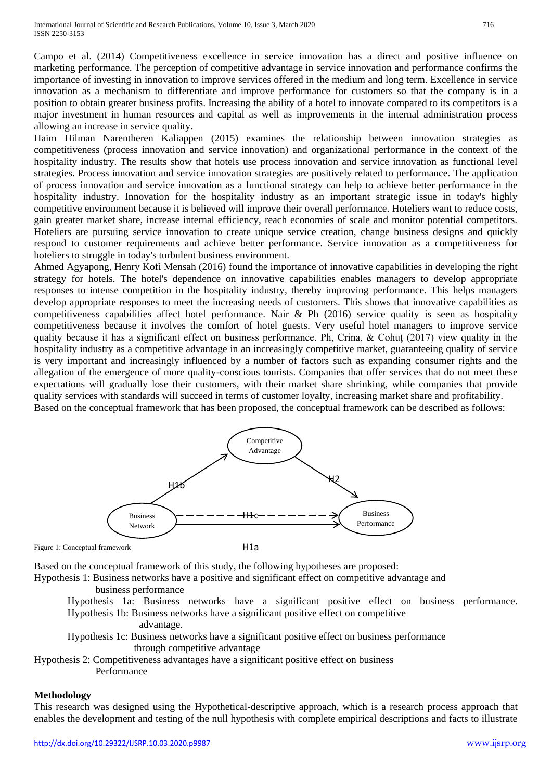Campo et al. (2014) Competitiveness excellence in service innovation has a direct and positive influence on marketing performance. The perception of competitive advantage in service innovation and performance confirms the importance of investing in innovation to improve services offered in the medium and long term. Excellence in service innovation as a mechanism to differentiate and improve performance for customers so that the company is in a position to obtain greater business profits. Increasing the ability of a hotel to innovate compared to its competitors is a major investment in human resources and capital as well as improvements in the internal administration process allowing an increase in service quality.

Haim Hilman Narentheren Kaliappen (2015) examines the relationship between innovation strategies as competitiveness (process innovation and service innovation) and organizational performance in the context of the hospitality industry. The results show that hotels use process innovation and service innovation as functional level strategies. Process innovation and service innovation strategies are positively related to performance. The application of process innovation and service innovation as a functional strategy can help to achieve better performance in the hospitality industry. Innovation for the hospitality industry as an important strategic issue in today's highly competitive environment because it is believed will improve their overall performance. Hoteliers want to reduce costs, gain greater market share, increase internal efficiency, reach economies of scale and monitor potential competitors. Hoteliers are pursuing service innovation to create unique service creation, change business designs and quickly respond to customer requirements and achieve better performance. Service innovation as a competitiveness for hoteliers to struggle in today's turbulent business environment.

Ahmed Agyapong, Henry Kofi Mensah (2016) found the importance of innovative capabilities in developing the right strategy for hotels. The hotel's dependence on innovative capabilities enables managers to develop appropriate responses to intense competition in the hospitality industry, thereby improving performance. This helps managers develop appropriate responses to meet the increasing needs of customers. This shows that innovative capabilities as competitiveness capabilities affect hotel performance. Nair & Ph (2016) service quality is seen as hospitality competitiveness because it involves the comfort of hotel guests. Very useful hotel managers to improve service quality because it has a significant effect on business performance. Ph, Crina, & Cohuţ (2017) view quality in the hospitality industry as a competitive advantage in an increasingly competitive market, guaranteeing quality of service is very important and increasingly influenced by a number of factors such as expanding consumer rights and the allegation of the emergence of more quality-conscious tourists. Companies that offer services that do not meet these expectations will gradually lose their customers, with their market share shrinking, while companies that provide quality services with standards will succeed in terms of customer loyalty, increasing market share and profitability. Based on the conceptual framework that has been proposed, the conceptual framework can be described as follows:



Figure 1: Conceptual framework

Based on the conceptual framework of this study, the following hypotheses are proposed:

Hypothesis 1: Business networks have a positive and significant effect on competitive advantage and business performance

Hypothesis 1a: Business networks have a significant positive effect on business performance. Hypothesis 1b: Business networks have a significant positive effect on competitive

advantage.

Hypothesis 1c: Business networks have a significant positive effect on business performance through competitive advantage

Hypothesis 2: Competitiveness advantages have a significant positive effect on business Performance

## **Methodology**

This research was designed using the Hypothetical-descriptive approach, which is a research process approach that enables the development and testing of the null hypothesis with complete empirical descriptions and facts to illustrate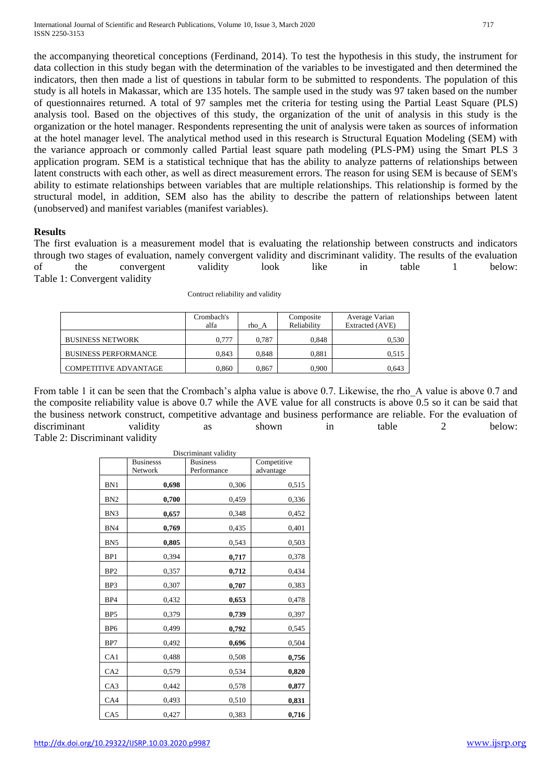the accompanying theoretical conceptions (Ferdinand, 2014). To test the hypothesis in this study, the instrument for data collection in this study began with the determination of the variables to be investigated and then determined the indicators, then then made a list of questions in tabular form to be submitted to respondents. The population of this study is all hotels in Makassar, which are 135 hotels. The sample used in the study was 97 taken based on the number of questionnaires returned. A total of 97 samples met the criteria for testing using the Partial Least Square (PLS) analysis tool. Based on the objectives of this study, the organization of the unit of analysis in this study is the organization or the hotel manager. Respondents representing the unit of analysis were taken as sources of information at the hotel manager level. The analytical method used in this research is Structural Equation Modeling (SEM) with the variance approach or commonly called Partial least square path modeling (PLS-PM) using the Smart PLS 3 application program. SEM is a statistical technique that has the ability to analyze patterns of relationships between latent constructs with each other, as well as direct measurement errors. The reason for using SEM is because of SEM's ability to estimate relationships between variables that are multiple relationships. This relationship is formed by the structural model, in addition, SEM also has the ability to describe the pattern of relationships between latent (unobserved) and manifest variables (manifest variables).

## **Results**

The first evaluation is a measurement model that is evaluating the relationship between constructs and indicators through two stages of evaluation, namely convergent validity and discriminant validity. The results of the evaluation of the convergent validity look like in table 1 below: Table 1: Convergent validity

|                              | Crombach's |       | Composite   | Average Varian  |
|------------------------------|------------|-------|-------------|-----------------|
|                              | alfa       | rho A | Reliability | Extracted (AVE) |
| <b>BUSINESS NETWORK</b>      | 0.777      | 0.787 | 0.848       | 0,530           |
| <b>BUSINESS PERFORMANCE</b>  | 0.843      | 0.848 | 0.881       | 0,515           |
| <b>COMPETITIVE ADVANTAGE</b> | 0.860      | 0.867 | 0.900       | 0.643           |

Contruct reliability and validity

From table 1 it can be seen that the Crombach's alpha value is above 0.7. Likewise, the rho\_A value is above 0.7 and the composite reliability value is above 0.7 while the AVE value for all constructs is above 0.5 so it can be said that the business network construct, competitive advantage and business performance are reliable. For the evaluation of discriminant validity as shown in table 2 below: Table 2: Discriminant validity

| Discriminant validity |                  |                 |             |  |
|-----------------------|------------------|-----------------|-------------|--|
|                       | <b>Businesss</b> | <b>Business</b> | Competitive |  |
|                       | Network          | Performance     | advantage   |  |
| BN1                   | 0,698            | 0,306           | 0,515       |  |
| BN <sub>2</sub>       | 0,700            | 0,459           | 0,336       |  |
| BN <sub>3</sub>       | 0,657            | 0,348           | 0,452       |  |
| BN4                   | 0,769            | 0,435           | 0,401       |  |
| BN <sub>5</sub>       | 0,805            | 0,543           | 0,503       |  |
| BP1                   | 0,394            | 0,717           | 0,378       |  |
| BP <sub>2</sub>       | 0,357            | 0,712           | 0,434       |  |
| BP3                   | 0,307            | 0,707           | 0,383       |  |
| BP4                   | 0,432            | 0,653           | 0,478       |  |
| BP <sub>5</sub>       | 0,379            | 0,739           | 0,397       |  |
| BP <sub>6</sub>       | 0,499            | 0,792           | 0,545       |  |
| BP7                   | 0,492            | 0,696           | 0,504       |  |
| CA1                   | 0,488            | 0,508           | 0,756       |  |
| CA <sub>2</sub>       | 0,579            | 0,534           | 0,820       |  |
| CA3                   | 0,442            | 0,578           | 0,877       |  |
| CA4                   | 0,493            | 0,510           | 0,831       |  |
| CA5                   | 0,427            | 0,383           | 0,716       |  |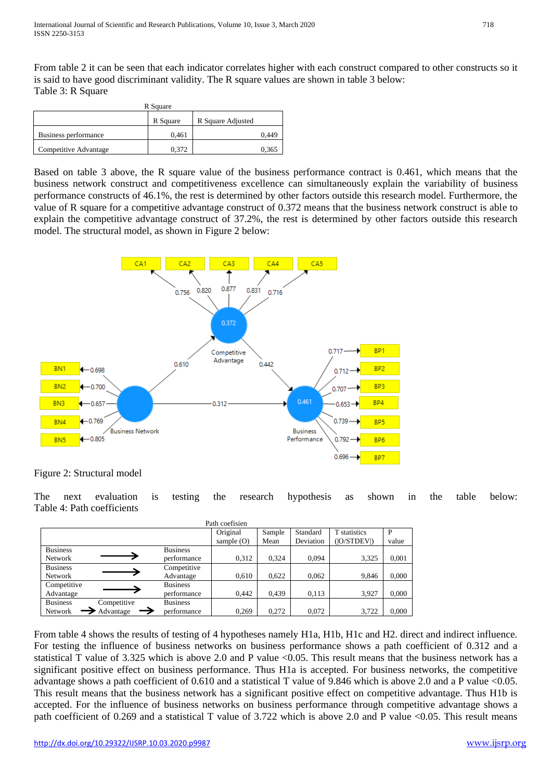From table 2 it can be seen that each indicator correlates higher with each construct compared to other constructs so it is said to have good discriminant validity. The R square values are shown in table 3 below: Table 3: R Square

| R Square              |          |                   |       |  |
|-----------------------|----------|-------------------|-------|--|
|                       | R Square | R Square Adjusted |       |  |
| Business performance  | 0.461    |                   | 0.449 |  |
| Competitive Advantage | 0.372    |                   | 0.365 |  |

Based on table 3 above, the R square value of the business performance contract is 0.461, which means that the business network construct and competitiveness excellence can simultaneously explain the variability of business performance constructs of 46.1%, the rest is determined by other factors outside this research model. Furthermore, the value of R square for a competitive advantage construct of 0.372 means that the business network construct is able to explain the competitive advantage construct of 37.2%, the rest is determined by other factors outside this research model. The structural model, as shown in Figure 2 below:



Figure 2: Structural model

The next evaluation is testing the research hypothesis as shown in the table below: Table 4: Path coefficients

| Path coefisien                 |                 |              |        |           |              |       |  |
|--------------------------------|-----------------|--------------|--------|-----------|--------------|-------|--|
|                                |                 | Original     | Sample | Standard  | T statistics | P     |  |
|                                |                 | sample $(O)$ | Mean   | Deviation | ( O/STDEV )  | value |  |
| <b>Business</b>                | <b>Business</b> |              |        |           |              |       |  |
| <b>Network</b>                 | performance     | 0,312        | 0,324  | 0.094     | 3,325        | 0,001 |  |
| <b>Business</b>                | Competitive     |              |        |           |              |       |  |
| <b>Network</b>                 | Advantage       | 0.610        | 0,622  | 0.062     | 9.846        | 0,000 |  |
| Competitive                    | <b>Business</b> |              |        |           |              |       |  |
| Advantage                      | performance     | 0,442        | 0.439  | 0,113     | 3,927        | 0,000 |  |
| <b>Business</b><br>Competitive | <b>Business</b> |              |        |           |              |       |  |
| Advantage<br>Network           | performance     | 0,269        | 0.272  | 0,072     | 3,722        | 0,000 |  |

From table 4 shows the results of testing of 4 hypotheses namely H1a, H1b, H1c and H2. direct and indirect influence. For testing the influence of business networks on business performance shows a path coefficient of 0.312 and a statistical T value of 3.325 which is above 2.0 and P value <0.05. This result means that the business network has a significant positive effect on business performance. Thus H1a is accepted. For business networks, the competitive advantage shows a path coefficient of 0.610 and a statistical T value of 9.846 which is above 2.0 and a P value <0.05. This result means that the business network has a significant positive effect on competitive advantage. Thus H1b is accepted. For the influence of business networks on business performance through competitive advantage shows a path coefficient of 0.269 and a statistical T value of 3.722 which is above 2.0 and P value <0.05. This result means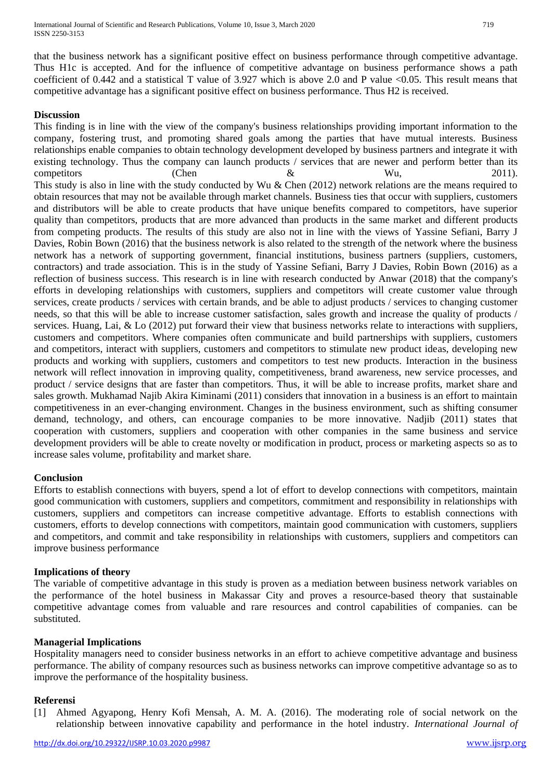that the business network has a significant positive effect on business performance through competitive advantage. Thus H1c is accepted. And for the influence of competitive advantage on business performance shows a path coefficient of 0.442 and a statistical T value of 3.927 which is above 2.0 and P value <0.05. This result means that competitive advantage has a significant positive effect on business performance. Thus H2 is received.

## **Discussion**

This finding is in line with the view of the company's business relationships providing important information to the company, fostering trust, and promoting shared goals among the parties that have mutual interests. Business relationships enable companies to obtain technology development developed by business partners and integrate it with existing technology. Thus the company can launch products / services that are newer and perform better than its competitors (Chen & Wu, 2011). This study is also in line with the study conducted by Wu & Chen (2012) network relations are the means required to obtain resources that may not be available through market channels. Business ties that occur with suppliers, customers and distributors will be able to create products that have unique benefits compared to competitors, have superior quality than competitors, products that are more advanced than products in the same market and different products from competing products. The results of this study are also not in line with the views of Yassine Sefiani, Barry J Davies, Robin Bown (2016) that the business network is also related to the strength of the network where the business network has a network of supporting government, financial institutions, business partners (suppliers, customers, contractors) and trade association. This is in the study of Yassine Sefiani, Barry J Davies, Robin Bown (2016) as a reflection of business success. This research is in line with research conducted by Anwar (2018) that the company's efforts in developing relationships with customers, suppliers and competitors will create customer value through services, create products / services with certain brands, and be able to adjust products / services to changing customer needs, so that this will be able to increase customer satisfaction, sales growth and increase the quality of products / services. Huang, Lai, & Lo (2012) put forward their view that business networks relate to interactions with suppliers, customers and competitors. Where companies often communicate and build partnerships with suppliers, customers and competitors, interact with suppliers, customers and competitors to stimulate new product ideas, developing new products and working with suppliers, customers and competitors to test new products. Interaction in the business network will reflect innovation in improving quality, competitiveness, brand awareness, new service processes, and product / service designs that are faster than competitors. Thus, it will be able to increase profits, market share and sales growth. Mukhamad Najib Akira Kiminami (2011) considers that innovation in a business is an effort to maintain competitiveness in an ever-changing environment. Changes in the business environment, such as shifting consumer demand, technology, and others, can encourage companies to be more innovative. Nadjib (2011) states that cooperation with customers, suppliers and cooperation with other companies in the same business and service development providers will be able to create novelty or modification in product, process or marketing aspects so as to increase sales volume, profitability and market share.

## **Conclusion**

Efforts to establish connections with buyers, spend a lot of effort to develop connections with competitors, maintain good communication with customers, suppliers and competitors, commitment and responsibility in relationships with customers, suppliers and competitors can increase competitive advantage. Efforts to establish connections with customers, efforts to develop connections with competitors, maintain good communication with customers, suppliers and competitors, and commit and take responsibility in relationships with customers, suppliers and competitors can improve business performance

## **Implications of theory**

The variable of competitive advantage in this study is proven as a mediation between business network variables on the performance of the hotel business in Makassar City and proves a resource-based theory that sustainable competitive advantage comes from valuable and rare resources and control capabilities of companies. can be substituted.

## **Managerial Implications**

Hospitality managers need to consider business networks in an effort to achieve competitive advantage and business performance. The ability of company resources such as business networks can improve competitive advantage so as to improve the performance of the hospitality business.

## **Referensi**

[1] Ahmed Agyapong, Henry Kofi Mensah, A. M. A. (2016). The moderating role of social network on the relationship between innovative capability and performance in the hotel industry. *International Journal of*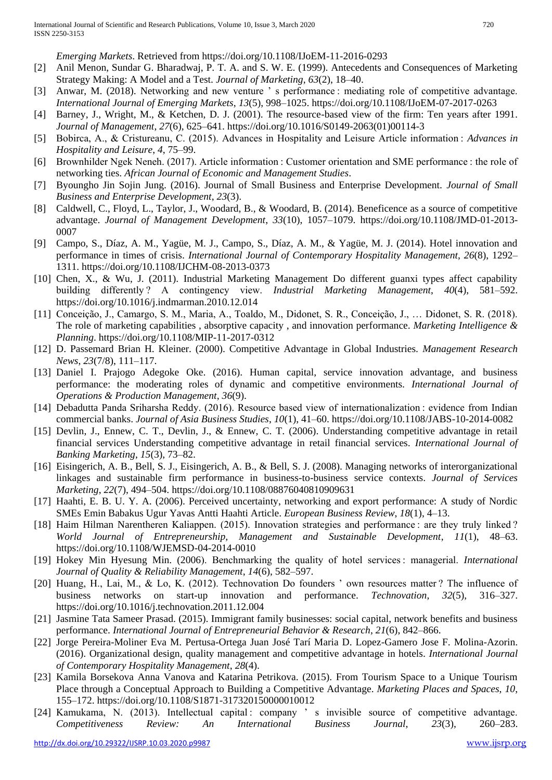*Emerging Markets*. Retrieved from https://doi.org/10.1108/IJoEM-11-2016-0293

- [2] Anil Menon, Sundar G. Bharadwaj, P. T. A. and S. W. E. (1999). Antecedents and Consequences of Marketing Strategy Making: A Model and a Test. *Journal of Marketing*, *63*(2), 18–40.
- [3] Anwar, M. (2018). Networking and new venture 's performance: mediating role of competitive advantage. *International Journal of Emerging Markets*, *13*(5), 998–1025. https://doi.org/10.1108/IJoEM-07-2017-0263
- [4] Barney, J., Wright, M., & Ketchen, D. J. (2001). The resource-based view of the firm: Ten years after 1991. *Journal of Management*, *27*(6), 625–641. https://doi.org/10.1016/S0149-2063(01)00114-3
- [5] Bobirca, A., & Cristureanu, C. (2015). Advances in Hospitality and Leisure Article information : *Advances in Hospitality and Leisure*, *4*, 75–99.
- [6] Brownhilder Ngek Neneh. (2017). Article information : Customer orientation and SME performance : the role of networking ties. *African Journal of Economic and Management Studies*.
- [7] Byoungho Jin Sojin Jung. (2016). Journal of Small Business and Enterprise Development. *Journal of Small Business and Enterprise Development*, *23*(3).
- [8] Caldwell, C., Floyd, L., Taylor, J., Woodard, B., & Woodard, B. (2014). Beneficence as a source of competitive advantage. *Journal of Management Development*, *33*(10), 1057–1079. https://doi.org/10.1108/JMD-01-2013- 0007
- [9] Campo, S., Díaz, A. M., Yagüe, M. J., Campo, S., Díaz, A. M., & Yagüe, M. J. (2014). Hotel innovation and performance in times of crisis. *International Journal of Contemporary Hospitality Management*, *26*(8), 1292– 1311. https://doi.org/10.1108/IJCHM-08-2013-0373
- [10] Chen, X., & Wu, J. (2011). Industrial Marketing Management Do different guanxi types affect capability building differently ? A contingency view. *Industrial Marketing Management*, *40*(4), 581–592. https://doi.org/10.1016/j.indmarman.2010.12.014
- [11] Conceição, J., Camargo, S. M., Maria, A., Toaldo, M., Didonet, S. R., Conceição, J., … Didonet, S. R. (2018). The role of marketing capabilities , absorptive capacity , and innovation performance. *Marketing Intelligence & Planning*. https://doi.org/10.1108/MIP-11-2017-0312
- [12] D. Passemard Brian H. Kleiner. (2000). Competitive Advantage in Global Industries. *Management Research News*, *23*(7/8), 111–117.
- [13] Daniel I. Prajogo Adegoke Oke. (2016). Human capital, service innovation advantage, and business performance: the moderating roles of dynamic and competitive environments. *International Journal of Operations & Production Management*, *36*(9).
- [14] Debadutta Panda Sriharsha Reddy. (2016). Resource based view of internationalization : evidence from Indian commercial banks. *Journal of Asia Business Studies*, *10*(1), 41–60. https://doi.org/10.1108/JABS-10-2014-0082
- [15] Devlin, J., Ennew, C. T., Devlin, J., & Ennew, C. T. (2006). Understanding competitive advantage in retail financial services Understanding competitive advantage in retail financial services. *International Journal of Banking Marketing*, *15*(3), 73–82.
- [16] Eisingerich, A. B., Bell, S. J., Eisingerich, A. B., & Bell, S. J. (2008). Managing networks of interorganizational linkages and sustainable firm performance in business-to-business service contexts. *Journal of Services Marketing*, *22*(7), 494–504. https://doi.org/10.1108/08876040810909631
- [17] Haahti, E. B. U. Y. A. (2006). Perceived uncertainty, networking and export performance: A study of Nordic SMEs Emin Babakus Ugur Yavas Antti Haahti Article. *European Business Review*, *18*(1), 4–13.
- [18] Haim Hilman Narentheren Kaliappen. (2015). Innovation strategies and performance : are they truly linked ? *World Journal of Entrepreneurship, Management and Sustainable Development*, *11*(1), 48–63. https://doi.org/10.1108/WJEMSD-04-2014-0010
- [19] Hokey Min Hyesung Min. (2006). Benchmarking the quality of hotel services : managerial. *International Journal of Quality & Reliability Management*, *14*(6), 582–597.
- [20] Huang, H., Lai, M., & Lo, K. (2012). Technovation Do founders ' own resources matter ? The influence of business networks on start-up innovation and performance. *Technovation*, *32*(5), 316–327. https://doi.org/10.1016/j.technovation.2011.12.004
- [21] Jasmine Tata Sameer Prasad. (2015). Immigrant family businesses: social capital, network benefits and business performance. *International Journal of Entrepreneurial Behavior & Research*, *21*(6), 842–866.
- [22] Jorge Pereira-Moliner Eva M. Pertusa-Ortega Juan José Tarí Maria D. Lopez-Gamero Jose F. Molina-Azorin. (2016). Organizational design, quality management and competitive advantage in hotels. *International Journal of Contemporary Hospitality Management*, *28*(4).
- [23] Kamila Borsekova Anna Vanova and Katarina Petrikova. (2015). From Tourism Space to a Unique Tourism Place through a Conceptual Approach to Building a Competitive Advantage. *Marketing Places and Spaces*, *10*, 155–172. https://doi.org/10.1108/S1871-317320150000010012
- [24] Kamukama, N. (2013). Intellectual capital : company ' s invisible source of competitive advantage. *Competitiveness Review: An International Business Journal*, *23*(3), 260–283.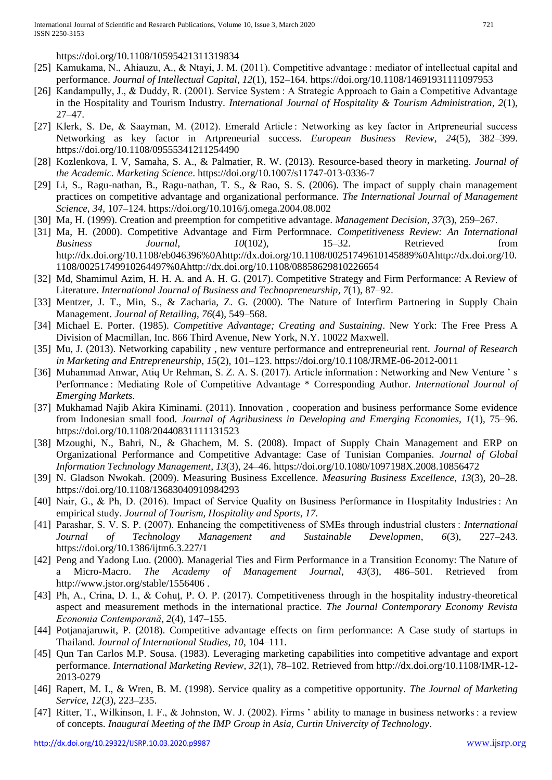https://doi.org/10.1108/10595421311319834

- [25] Kamukama, N., Ahiauzu, A., & Ntayi, J. M. (2011). Competitive advantage : mediator of intellectual capital and performance. *Journal of Intellectual Capital*, *12*(1), 152–164. https://doi.org/10.1108/14691931111097953
- [26] Kandampully, J., & Duddy, R. (2001). Service System : A Strategic Approach to Gain a Competitive Advantage in the Hospitality and Tourism Industry. *International Journal of Hospitality & Tourism Administration*, *2*(1), 27–47.
- [27] Klerk, S. De, & Saayman, M. (2012). Emerald Article : Networking as key factor in Artpreneurial success Networking as key factor in Artpreneurial success. *European Business Review*, *24*(5), 382–399. https://doi.org/10.1108/09555341211254490
- [28] Kozlenkova, I. V, Samaha, S. A., & Palmatier, R. W. (2013). Resource-based theory in marketing. *Journal of the Academic. Marketing Science*. https://doi.org/10.1007/s11747-013-0336-7
- [29] Li, S., Ragu-nathan, B., Ragu-nathan, T. S., & Rao, S. S. (2006). The impact of supply chain management practices on competitive advantage and organizational performance. *The International Journal of Management Science*, *34*, 107–124. https://doi.org/10.1016/j.omega.2004.08.002
- [30] Ma, H. (1999). Creation and preemption for competitive advantage. *Management Decision*, *37*(3), 259–267.
- [31] Ma, H. (2000). Competitive Advantage and Firm Performnace. *Competitiveness Review: An International Business Journal*, *10*(102), 15–32. Retrieved from http://dx.doi.org/10.1108/eb046396%0Ahttp://dx.doi.org/10.1108/00251749610145889%0Ahttp://dx.doi.org/10. 1108/00251749910264497%0Ahttp://dx.doi.org/10.1108/08858629810226654
- [32] Md, Shamimul Azim, H. H. A. and A. H. G. (2017). Competitive Strategy and Firm Performance: A Review of Literature. *International Journal of Business and Technopreneurship*, *7*(1), 87–92.
- [33] Mentzer, J. T., Min, S., & Zacharia, Z. G. (2000). The Nature of Interfirm Partnering in Supply Chain Management. *Journal of Retailing*, *76*(4), 549–568.
- [34] Michael E. Porter. (1985). *Competitive Advantage; Creating and Sustaining*. New York: The Free Press A Division of Macmillan, Inc. 866 Third Avenue, New York, N.Y. 10022 Maxwell.
- [35] Mu, J. (2013). Networking capability , new venture performance and entrepreneurial rent. *Journal of Research in Marketing and Entrepreneurship*, *15*(2), 101–123. https://doi.org/10.1108/JRME-06-2012-0011
- [36] Muhammad Anwar, Atiq Ur Rehman, S. Z. A. S. (2017). Article information : Networking and New Venture ' s Performance : Mediating Role of Competitive Advantage \* Corresponding Author. *International Journal of Emerging Markets*.
- [37] Mukhamad Najib Akira Kiminami. (2011). Innovation , cooperation and business performance Some evidence from Indonesian small food. *Journal of Agribusiness in Developing and Emerging Economies*, *1*(1), 75–96. https://doi.org/10.1108/20440831111131523
- [38] Mzoughi, N., Bahri, N., & Ghachem, M. S. (2008). Impact of Supply Chain Management and ERP on Organizational Performance and Competitive Advantage: Case of Tunisian Companies. *Journal of Global Information Technology Management*, *13*(3), 24–46. https://doi.org/10.1080/1097198X.2008.10856472
- [39] N. Gladson Nwokah. (2009). Measuring Business Excellence. *Measuring Business Excellence*, *13*(3), 20–28. https://doi.org/10.1108/13683040910984293
- [40] Nair, G., & Ph, D. (2016). Impact of Service Quality on Business Performance in Hospitality Industries : An empirical study. *Journal of Tourism, Hospitality and Sports*, *17*.
- [41] Parashar, S. V. S. P. (2007). Enhancing the competitiveness of SMEs through industrial clusters : *International Journal of Technology Management and Sustainable Developmen*, *6*(3), 227–243. https://doi.org/10.1386/ijtm6.3.227/1
- [42] Peng and Yadong Luo. (2000). Managerial Ties and Firm Performance in a Transition Economy: The Nature of a Micro-Macro. *The Academy of Management Journal*, *43*(3), 486–501. Retrieved from http://www.jstor.org/stable/1556406 .
- [43] Ph, A., Crina, D. I., & Cohuţ, P. O. P. (2017). Competitiveness through in the hospitality industry-theoretical aspect and measurement methods in the international practice. *The Journal Contemporary Economy Revista Economia Contemporană*, *2*(4), 147–155.
- [44] Potjanajaruwit, P. (2018). Competitive advantage effects on firm performance: A Case study of startups in Thailand. *Journal of International Studies*, *10*, 104–111.
- [45] Qun Tan Carlos M.P. Sousa. (1983). Leveraging marketing capabilities into competitive advantage and export performance. *International Marketing Review*, *32*(1), 78–102. Retrieved from http://dx.doi.org/10.1108/IMR-12- 2013-0279
- [46] Rapert, M. I., & Wren, B. M. (1998). Service quality as a competitive opportunity. *The Journal of Marketing Service*, *12*(3), 223–235.
- [47] Ritter, T., Wilkinson, I. F., & Johnston, W. J. (2002). Firms ' ability to manage in business networks : a review of concepts. *Inaugural Meeting of the IMP Group in Asia, Curtin Univercity of Technology*.